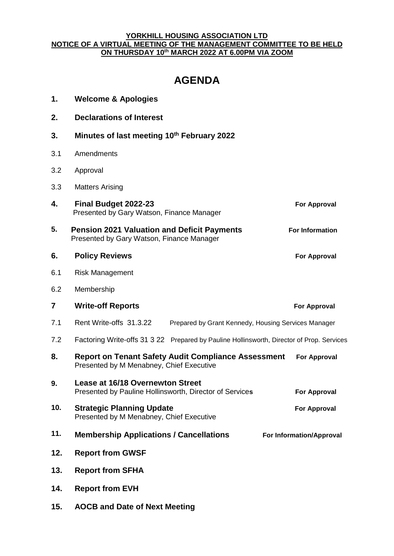## **YORKHILL HOUSING ASSOCIATION LTD NOTICE OF A VIRTUAL MEETING OF THE MANAGEMENT COMMITTEE TO BE HELD ON THURSDAY 10 th MARCH 2022 AT 6.00PM VIA ZOOM**

## **AGENDA**

| 1.  | <b>Welcome &amp; Apologies</b>                                                                         |                          |
|-----|--------------------------------------------------------------------------------------------------------|--------------------------|
| 2.  | <b>Declarations of Interest</b>                                                                        |                          |
| 3.  | Minutes of last meeting 10th February 2022                                                             |                          |
| 3.1 | Amendments                                                                                             |                          |
| 3.2 | Approval                                                                                               |                          |
| 3.3 | <b>Matters Arising</b>                                                                                 |                          |
| 4.  | Final Budget 2022-23<br>Presented by Gary Watson, Finance Manager                                      | <b>For Approval</b>      |
| 5.  | <b>Pension 2021 Valuation and Deficit Payments</b><br>Presented by Gary Watson, Finance Manager        | <b>For Information</b>   |
| 6.  | <b>Policy Reviews</b>                                                                                  | <b>For Approval</b>      |
| 6.1 | <b>Risk Management</b>                                                                                 |                          |
| 6.2 | Membership                                                                                             |                          |
| 7   | <b>Write-off Reports</b>                                                                               | <b>For Approval</b>      |
| 7.1 | Rent Write-offs 31.3.22<br>Prepared by Grant Kennedy, Housing Services Manager                         |                          |
| 7.2 | Factoring Write-offs 31 3 22 Prepared by Pauline Hollinsworth, Director of Prop. Services              |                          |
| 8.  | <b>Report on Tenant Safety Audit Compliance Assessment</b><br>Presented by M Menabney, Chief Executive | <b>For Approval</b>      |
| 9.  | <b>Lease at 16/18 Overnewton Street</b><br>Presented by Pauline Hollinsworth, Director of Services     | <b>For Approval</b>      |
| 10. | <b>Strategic Planning Update</b><br>Presented by M Menabney, Chief Executive                           | <b>For Approval</b>      |
| 11. | <b>Membership Applications / Cancellations</b>                                                         | For Information/Approval |
| 12. | <b>Report from GWSF</b>                                                                                |                          |
| 13. | <b>Report from SFHA</b>                                                                                |                          |
| 14. | <b>Report from EVH</b>                                                                                 |                          |
| 15. | <b>AOCB and Date of Next Meeting</b>                                                                   |                          |